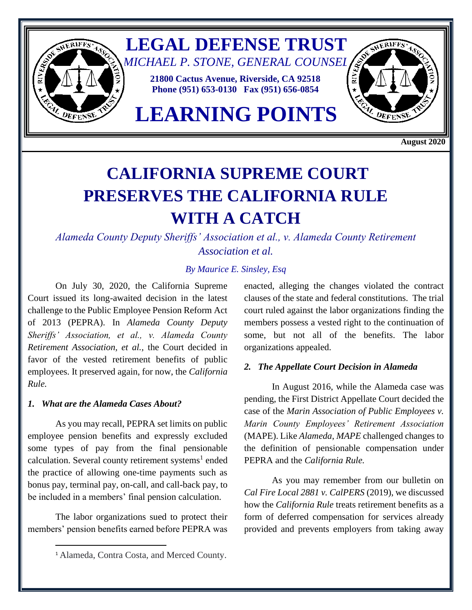

 **August 2020**

# **CALIFORNIA SUPREME COURT PRESERVES THE CALIFORNIA RULE WITH A CATCH**

*Alameda County Deputy Sheriffs' Association et al., v. Alameda County Retirement Association et al.*

## *By Maurice E. Sinsley, Esq*

On July 30, 2020, the California Supreme Court issued its long-awaited decision in the latest challenge to the Public Employee Pension Reform Act of 2013 (PEPRA). In *Alameda County Deputy Sheriffs' Association, et al., v. Alameda County Retirement Association, et al.,* the Court decided in favor of the vested retirement benefits of public employees. It preserved again, for now, the *California Rule.*

### *1. What are the Alameda Cases About?*

As you may recall, PEPRA set limits on public employee pension benefits and expressly excluded some types of pay from the final pensionable calculation. Several county retirement systems<sup>1</sup> ended the practice of allowing one-time payments such as bonus pay, terminal pay, on-call, and call-back pay, to be included in a members' final pension calculation.

The labor organizations sued to protect their members' pension benefits earned before PEPRA was enacted, alleging the changes violated the contract clauses of the state and federal constitutions. The trial court ruled against the labor organizations finding the members possess a vested right to the continuation of some, but not all of the benefits. The labor organizations appealed.

#### *2. The Appellate Court Decision in Alameda*

In August 2016, while the Alameda case was pending, the First District Appellate Court decided the case of the *Marin Association of Public Employees v. Marin County Employees' Retirement Association* (MAPE). Like *Alameda*, *MAPE* challenged changes to the definition of pensionable compensation under PEPRA and the *California Rule.* 

As you may remember from our bulletin on *Cal Fire Local 2881 v. CalPERS* (2019), we discussed how the *California Rule* treats retirement benefits as a form of deferred compensation for services already provided and prevents employers from taking away

<sup>1</sup> Alameda, Contra Costa, and Merced County.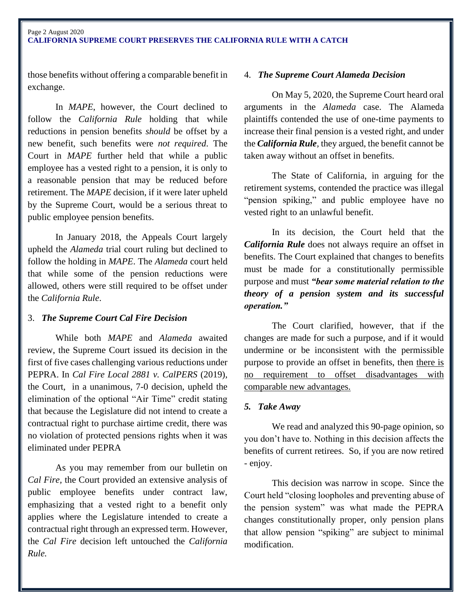#### Page 2 August 2020 **CALIFORNIA SUPREME COURT PRESERVES THE CALIFORNIA RULE WITH A CATCH**

those benefits without offering a comparable benefit in exchange.

In *MAPE*, however, the Court declined to follow the *California Rule* holding that while reductions in pension benefits *should* be offset by a new benefit, such benefits were *not required*. The Court in *MAPE* further held that while a public employee has a vested right to a pension, it is only to a reasonable pension that may be reduced before retirement. The *MAPE* decision, if it were later upheld by the Supreme Court, would be a serious threat to public employee pension benefits.

In January 2018, the Appeals Court largely upheld the *Alameda* trial court ruling but declined to follow the holding in *MAPE*. The *Alameda* court held that while some of the pension reductions were allowed, others were still required to be offset under the *California Rule*.

## 3. *The Supreme Court Cal Fire Decision*

While both *MAPE* and *Alameda* awaited review, the Supreme Court issued its decision in the first of five cases challenging various reductions under PEPRA. In *Cal Fire Local 2881 v. CalPERS* (2019), the Court, in a unanimous, 7-0 decision, upheld the elimination of the optional "Air Time" credit stating that because the Legislature did not intend to create a contractual right to purchase airtime credit, there was no violation of protected pensions rights when it was eliminated under PEPRA

As you may remember from our bulletin on *Cal Fire,* the Court provided an extensive analysis of public employee benefits under contract law, emphasizing that a vested right to a benefit only applies where the Legislature intended to create a contractual right through an expressed term. However, the *Cal Fire* decision left untouched the *California Rule.* 

## 4. *The Supreme Court Alameda Decision*

On May 5, 2020, the Supreme Court heard oral arguments in the *Alameda* case. The Alameda plaintiffs contended the use of one-time payments to increase their final pension is a vested right, and under the *California Rule,* they argued, the benefit cannot be taken away without an offset in benefits.

The State of California, in arguing for the retirement systems, contended the practice was illegal "pension spiking," and public employee have no vested right to an unlawful benefit.

In its decision, the Court held that the *California Rule* does not always require an offset in benefits. The Court explained that changes to benefits must be made for a constitutionally permissible purpose and must *"bear some material relation to the theory of a pension system and its successful operation."*

The Court clarified, however, that if the changes are made for such a purpose, and if it would undermine or be inconsistent with the permissible purpose to provide an offset in benefits, then there is no requirement to offset disadvantages with comparable new advantages.

## *5. Take Away*

We read and analyzed this 90-page opinion, so you don't have to. Nothing in this decision affects the benefits of current retirees. So, if you are now retired - enjoy.

This decision was narrow in scope. Since the Court held "closing loopholes and preventing abuse of the pension system" was what made the PEPRA changes constitutionally proper, only pension plans that allow pension "spiking" are subject to minimal modification.